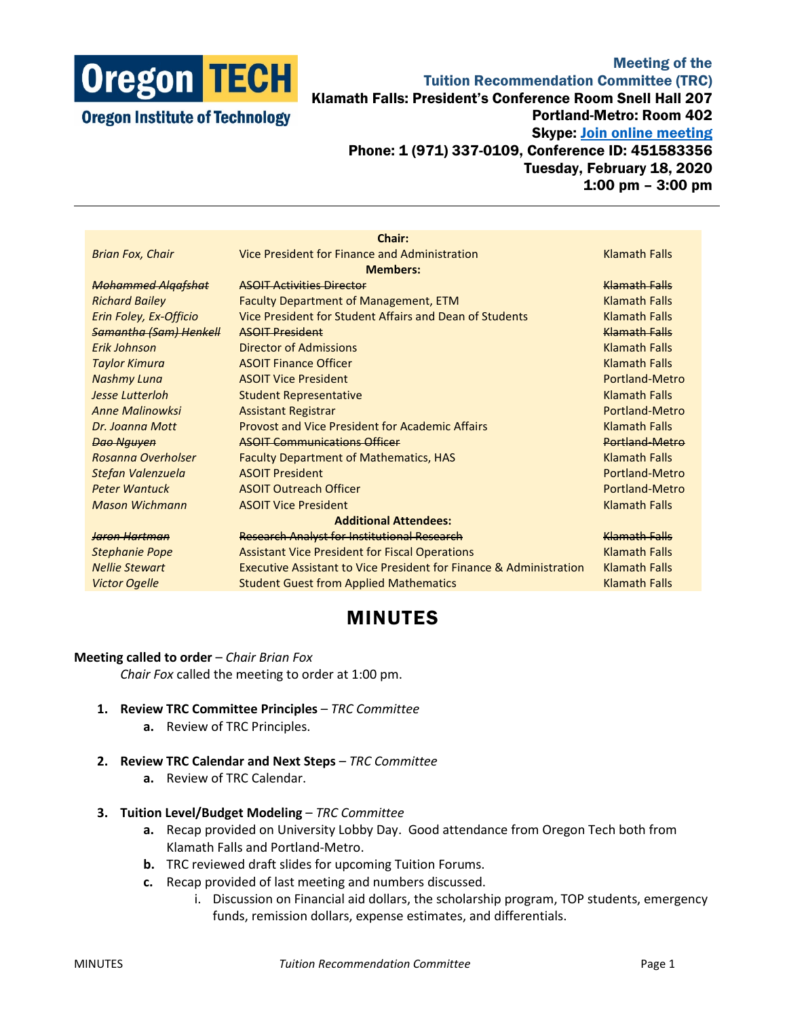

## Meeting of the Tuition Recommendation Committee (TRC) Klamath Falls: President's Conference Room Snell Hall 207 Portland-Metro: Room 402 Skype: [Join online meeting](https://meet.lync.com/oregontech/sn207/TD6EDWWK) Phone: 1 (971) 337-0109, Conference ID: 451583356 Tuesday, February 18, 2020 1:00 pm – 3:00 pm

| Chair:                        |                                                                               |                      |
|-------------------------------|-------------------------------------------------------------------------------|----------------------|
| <b>Brian Fox, Chair</b>       | Vice President for Finance and Administration                                 | <b>Klamath Falls</b> |
| <b>Members:</b>               |                                                                               |                      |
| <b>Mohammed Algafshat</b>     | <b>ASOIT Activities Director</b>                                              | Klamath Falls        |
| <b>Richard Bailey</b>         | <b>Faculty Department of Management, ETM</b>                                  | <b>Klamath Falls</b> |
| Erin Foley, Ex-Officio        | Vice President for Student Affairs and Dean of Students                       | <b>Klamath Falls</b> |
| <b>Samantha (Sam) Henkell</b> | <b>ASOIT President</b>                                                        | <b>Klamath Falls</b> |
| Frik Johnson                  | Director of Admissions                                                        | <b>Klamath Falls</b> |
| <b>Taylor Kimura</b>          | <b>ASOIT Finance Officer</b>                                                  | <b>Klamath Falls</b> |
| Nashmy Luna                   | <b>ASOIT Vice President</b>                                                   | Portland-Metro       |
| <b>Jesse Lutterloh</b>        | <b>Student Representative</b>                                                 | <b>Klamath Falls</b> |
| <b>Anne Malinowksi</b>        | <b>Assistant Registrar</b>                                                    | Portland-Metro       |
| Dr. Joanna Mott               | <b>Provost and Vice President for Academic Affairs</b>                        | <b>Klamath Falls</b> |
| <b>Dao Nguyen</b>             | <b>ASOIT Communications Officer</b>                                           | Portland-Metro       |
| Rosanna Overholser            | <b>Faculty Department of Mathematics, HAS</b>                                 | <b>Klamath Falls</b> |
| Stefan Valenzuela             | <b>ASOIT President</b>                                                        | Portland-Metro       |
| <b>Peter Wantuck</b>          | <b>ASOIT Outreach Officer</b>                                                 | Portland-Metro       |
| <b>Mason Wichmann</b>         | <b>ASOIT Vice President</b>                                                   | <b>Klamath Falls</b> |
| <b>Additional Attendees:</b>  |                                                                               |                      |
| <b>Jaron Hartman</b>          | <b>Research Analyst for Institutional Research</b>                            | Klamath Falls        |
| <b>Stephanie Pope</b>         | <b>Assistant Vice President for Fiscal Operations</b>                         | <b>Klamath Falls</b> |
| <b>Nellie Stewart</b>         | <b>Executive Assistant to Vice President for Finance &amp; Administration</b> | <b>Klamath Falls</b> |
| <b>Victor Ogelle</b>          | <b>Student Guest from Applied Mathematics</b>                                 | <b>Klamath Falls</b> |
|                               |                                                                               |                      |

## MINUTES

## **Meeting called to order** – *Chair Brian Fox*

*Chair Fox* called the meeting to order at 1:00 pm.

- **1. Review TRC Committee Principles** *TRC Committee*
	- **a.** Review of TRC Principles.
- **2. Review TRC Calendar and Next Steps** *TRC Committee*
	- **a.** Review of TRC Calendar.
- **3. Tuition Level/Budget Modeling** *TRC Committee*
	- **a.** Recap provided on University Lobby Day. Good attendance from Oregon Tech both from Klamath Falls and Portland-Metro.
	- **b.** TRC reviewed draft slides for upcoming Tuition Forums.
	- **c.** Recap provided of last meeting and numbers discussed.
		- i. Discussion on Financial aid dollars, the scholarship program, TOP students, emergency funds, remission dollars, expense estimates, and differentials.